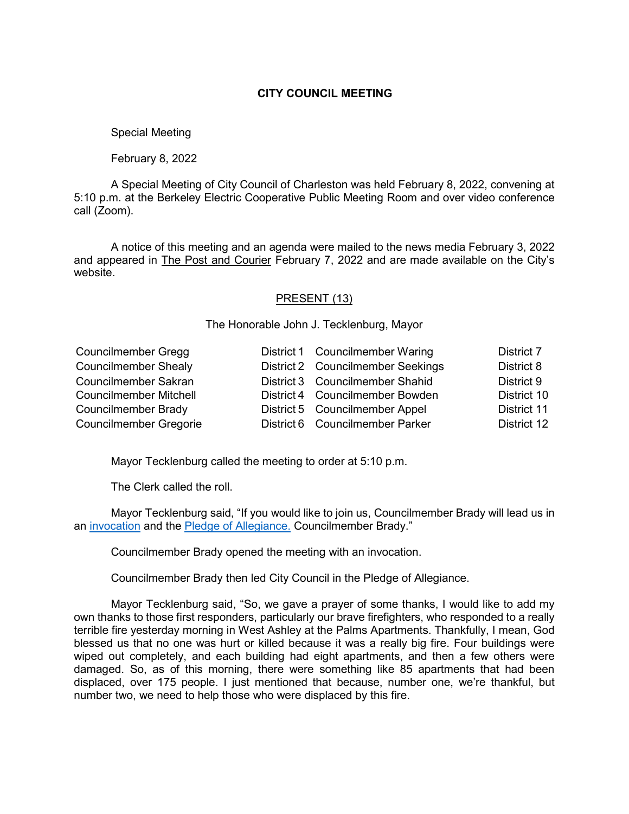## **CITY COUNCIL MEETING**

## Special Meeting

February 8, 2022

A Special Meeting of City Council of Charleston was held February 8, 2022, convening at 5:10 p.m. at the Berkeley Electric Cooperative Public Meeting Room and over video conference call (Zoom).

A notice of this meeting and an agenda were mailed to the news media February 3, 2022 and appeared in The Post and Courier February 7, 2022 and are made available on the City's website.

## PRESENT (13)

The Honorable John J. Tecklenburg, Mayor

| <b>Councilmember Gregg</b>    | District 1 Councilmember Waring   | <b>District 7</b> |
|-------------------------------|-----------------------------------|-------------------|
| <b>Councilmember Shealy</b>   | District 2 Councilmember Seekings | District 8        |
| Councilmember Sakran          | District 3 Councilmember Shahid   | District 9        |
| <b>Councilmember Mitchell</b> | District 4 Councilmember Bowden   | District 10       |
| Councilmember Brady           | District 5 Councilmember Appel    | District 11       |
| <b>Councilmember Gregorie</b> | District 6 Councilmember Parker   | District 12       |

Mayor Tecklenburg called the meeting to order at 5:10 p.m.

The Clerk called the roll.

Mayor Tecklenburg said, "If you would like to join us, Councilmember Brady will lead us in an [invocation](https://youtu.be/N8g8fyziKXQ?t=656) and the [Pledge of Allegiance.](https://youtu.be/N8g8fyziKXQ?t=657) Councilmember Brady."

Councilmember Brady opened the meeting with an invocation.

Councilmember Brady then led City Council in the Pledge of Allegiance.

Mayor Tecklenburg said, "So, we gave a prayer of some thanks, I would like to add my own thanks to those first responders, particularly our brave firefighters, who responded to a really terrible fire yesterday morning in West Ashley at the Palms Apartments. Thankfully, I mean, God blessed us that no one was hurt or killed because it was a really big fire. Four buildings were wiped out completely, and each building had eight apartments, and then a few others were damaged. So, as of this morning, there were something like 85 apartments that had been displaced, over 175 people. I just mentioned that because, number one, we're thankful, but number two, we need to help those who were displaced by this fire.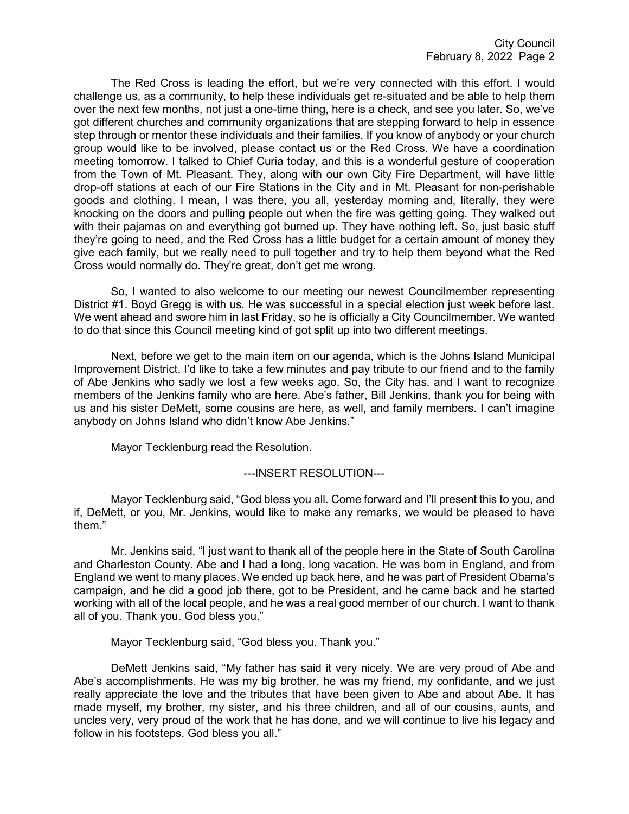The Red Cross is leading the effort, but we're very connected with this effort. I would challenge us, as a community, to help these individuals get re-situated and be able to help them over the next few months, not just a one-time thing, here is a check, and see you later. So, we've got different churches and community organizations that are stepping forward to help in essence step through or mentor these individuals and their families. If you know of anybody or your church group would like to be involved, please contact us or the Red Cross. We have a coordination meeting tomorrow. I talked to Chief Curia today, and this is a wonderful gesture of cooperation from the Town of Mt. Pleasant. They, along with our own City Fire Department, will have little drop-off stations at each of our Fire Stations in the City and in Mt. Pleasant for non-perishable goods and clothing. I mean, I was there, you all, yesterday morning and, literally, they were knocking on the doors and pulling people out when the fire was getting going. They walked out with their pajamas on and everything got burned up. They have nothing left. So, just basic stuff they're going to need, and the Red Cross has a little budget for a certain amount of money they give each family, but we really need to pull together and try to help them beyond what the Red Cross would normally do. They're great, don't get me wrong.

So, I wanted to also welcome to our meeting our newest Councilmember representing District #1. Boyd Gregg is with us. He was successful in a special election just week before last. We went ahead and swore him in last Friday, so he is officially a City Councilmember. We wanted to do that since this Council meeting kind of got split up into two different meetings.

Next, before we get to the main item on our agenda, which is the Johns Island Municipal Improvement District, I'd like to take a few minutes and pay tribute to our friend and to the family of Abe Jenkins who sadly we lost a few weeks ago. So, the City has, and I want to recognize members of the Jenkins family who are here. Abe's father, Bill Jenkins, thank you for being with us and his sister DeMett, some cousins are here, as well, and family members. I can't imagine anybody on Johns Island who didn't know Abe Jenkins."

Mayor Tecklenburg read the Resolution.

## ---INSERT RESOLUTION---

Mayor Tecklenburg said, "God bless you all. Come forward and I'll present this to you, and if, DeMett, or you, Mr. Jenkins, would like to make any remarks, we would be pleased to have them."

Mr. Jenkins said, "I just want to thank all of the people here in the State of South Carolina and Charleston County. Abe and I had a long, long vacation. He was born in England, and from England we went to many places. We ended up back here, and he was part of President Obama's campaign, and he did a good job there, got to be President, and he came back and he started working with all of the local people, and he was a real good member of our church. I want to thank all of you. Thank you. God bless you."

Mayor Tecklenburg said, "God bless you. Thank you."

DeMett Jenkins said, "My father has said it very nicely. We are very proud of Abe and Abe's accomplishments. He was my big brother, he was my friend, my confidante, and we just really appreciate the love and the tributes that have been given to Abe and about Abe. It has made myself, my brother, my sister, and his three children, and all of our cousins, aunts, and uncles very, very proud of the work that he has done, and we will continue to live his legacy and follow in his footsteps. God bless you all."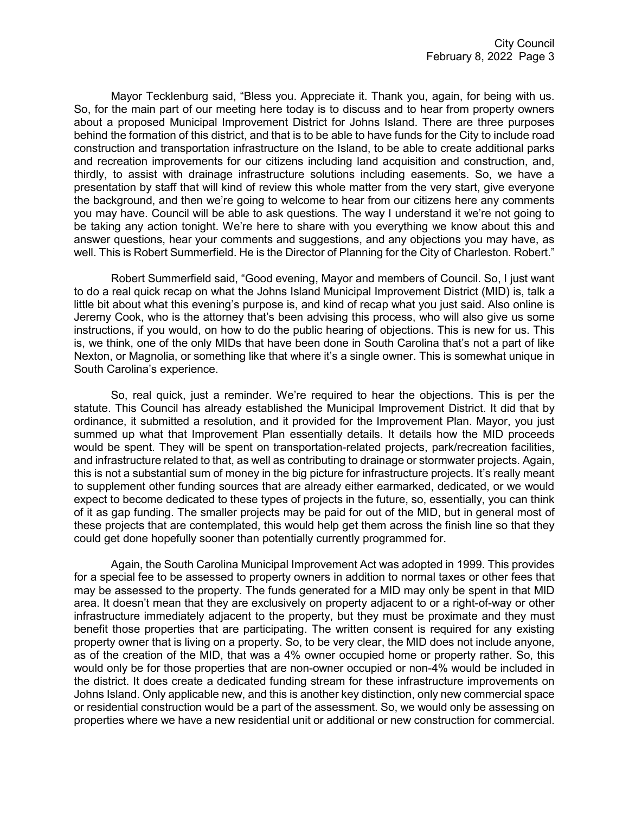Mayor Tecklenburg said, "Bless you. Appreciate it. Thank you, again, for being with us. So, for the main part of our meeting here today is to discuss and to hear from property owners about a proposed Municipal Improvement District for Johns Island. There are three purposes behind the formation of this district, and that is to be able to have funds for the City to include road construction and transportation infrastructure on the Island, to be able to create additional parks and recreation improvements for our citizens including land acquisition and construction, and, thirdly, to assist with drainage infrastructure solutions including easements. So, we have a presentation by staff that will kind of review this whole matter from the very start, give everyone the background, and then we're going to welcome to hear from our citizens here any comments you may have. Council will be able to ask questions. The way I understand it we're not going to be taking any action tonight. We're here to share with you everything we know about this and answer questions, hear your comments and suggestions, and any objections you may have, as well. This is Robert Summerfield. He is the Director of Planning for the City of Charleston. Robert."

Robert Summerfield said, "Good evening, Mayor and members of Council. So, I just want to do a real quick recap on what the Johns Island Municipal Improvement District (MID) is, talk a little bit about what this evening's purpose is, and kind of recap what you just said. Also online is Jeremy Cook, who is the attorney that's been advising this process, who will also give us some instructions, if you would, on how to do the public hearing of objections. This is new for us. This is, we think, one of the only MIDs that have been done in South Carolina that's not a part of like Nexton, or Magnolia, or something like that where it's a single owner. This is somewhat unique in South Carolina's experience.

So, real quick, just a reminder. We're required to hear the objections. This is per the statute. This Council has already established the Municipal Improvement District. It did that by ordinance, it submitted a resolution, and it provided for the Improvement Plan. Mayor, you just summed up what that Improvement Plan essentially details. It details how the MID proceeds would be spent. They will be spent on transportation-related projects, park/recreation facilities, and infrastructure related to that, as well as contributing to drainage or stormwater projects. Again, this is not a substantial sum of money in the big picture for infrastructure projects. It's really meant to supplement other funding sources that are already either earmarked, dedicated, or we would expect to become dedicated to these types of projects in the future, so, essentially, you can think of it as gap funding. The smaller projects may be paid for out of the MID, but in general most of these projects that are contemplated, this would help get them across the finish line so that they could get done hopefully sooner than potentially currently programmed for.

Again, the South Carolina Municipal Improvement Act was adopted in 1999. This provides for a special fee to be assessed to property owners in addition to normal taxes or other fees that may be assessed to the property. The funds generated for a MID may only be spent in that MID area. It doesn't mean that they are exclusively on property adjacent to or a right-of-way or other infrastructure immediately adjacent to the property, but they must be proximate and they must benefit those properties that are participating. The written consent is required for any existing property owner that is living on a property. So, to be very clear, the MID does not include anyone, as of the creation of the MID, that was a 4% owner occupied home or property rather. So, this would only be for those properties that are non-owner occupied or non-4% would be included in the district. It does create a dedicated funding stream for these infrastructure improvements on Johns Island. Only applicable new, and this is another key distinction, only new commercial space or residential construction would be a part of the assessment. So, we would only be assessing on properties where we have a new residential unit or additional or new construction for commercial.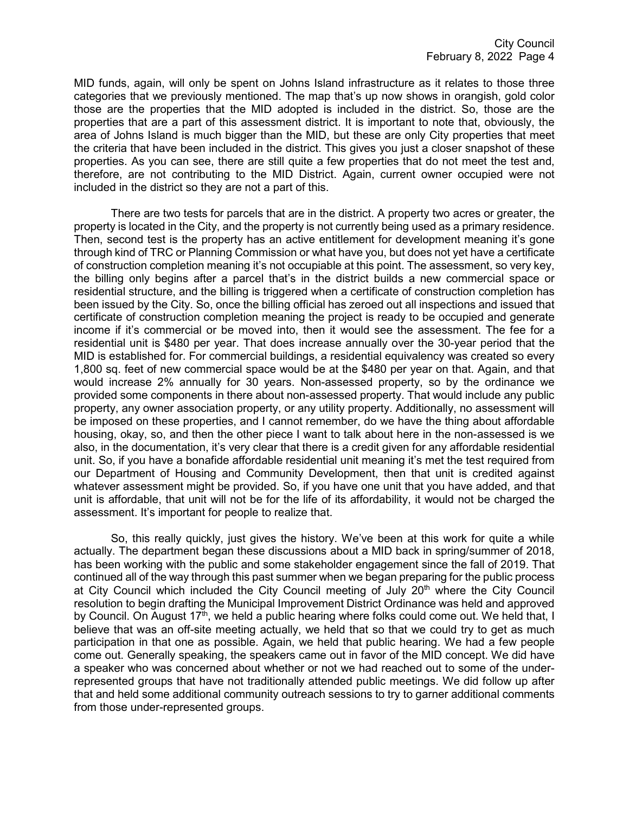MID funds, again, will only be spent on Johns Island infrastructure as it relates to those three categories that we previously mentioned. The map that's up now shows in orangish, gold color those are the properties that the MID adopted is included in the district. So, those are the properties that are a part of this assessment district. It is important to note that, obviously, the area of Johns Island is much bigger than the MID, but these are only City properties that meet the criteria that have been included in the district. This gives you just a closer snapshot of these properties. As you can see, there are still quite a few properties that do not meet the test and, therefore, are not contributing to the MID District. Again, current owner occupied were not included in the district so they are not a part of this.

There are two tests for parcels that are in the district. A property two acres or greater, the property is located in the City, and the property is not currently being used as a primary residence. Then, second test is the property has an active entitlement for development meaning it's gone through kind of TRC or Planning Commission or what have you, but does not yet have a certificate of construction completion meaning it's not occupiable at this point. The assessment, so very key, the billing only begins after a parcel that's in the district builds a new commercial space or residential structure, and the billing is triggered when a certificate of construction completion has been issued by the City. So, once the billing official has zeroed out all inspections and issued that certificate of construction completion meaning the project is ready to be occupied and generate income if it's commercial or be moved into, then it would see the assessment. The fee for a residential unit is \$480 per year. That does increase annually over the 30-year period that the MID is established for. For commercial buildings, a residential equivalency was created so every 1,800 sq. feet of new commercial space would be at the \$480 per year on that. Again, and that would increase 2% annually for 30 years. Non-assessed property, so by the ordinance we provided some components in there about non-assessed property. That would include any public property, any owner association property, or any utility property. Additionally, no assessment will be imposed on these properties, and I cannot remember, do we have the thing about affordable housing, okay, so, and then the other piece I want to talk about here in the non-assessed is we also, in the documentation, it's very clear that there is a credit given for any affordable residential unit. So, if you have a bonafide affordable residential unit meaning it's met the test required from our Department of Housing and Community Development, then that unit is credited against whatever assessment might be provided. So, if you have one unit that you have added, and that unit is affordable, that unit will not be for the life of its affordability, it would not be charged the assessment. It's important for people to realize that.

So, this really quickly, just gives the history. We've been at this work for quite a while actually. The department began these discussions about a MID back in spring/summer of 2018, has been working with the public and some stakeholder engagement since the fall of 2019. That continued all of the way through this past summer when we began preparing for the public process at City Council which included the City Council meeting of July 20<sup>th</sup> where the City Council resolution to begin drafting the Municipal Improvement District Ordinance was held and approved by Council. On August 17<sup>th</sup>, we held a public hearing where folks could come out. We held that, I believe that was an off-site meeting actually, we held that so that we could try to get as much participation in that one as possible. Again, we held that public hearing. We had a few people come out. Generally speaking, the speakers came out in favor of the MID concept. We did have a speaker who was concerned about whether or not we had reached out to some of the underrepresented groups that have not traditionally attended public meetings. We did follow up after that and held some additional community outreach sessions to try to garner additional comments from those under-represented groups.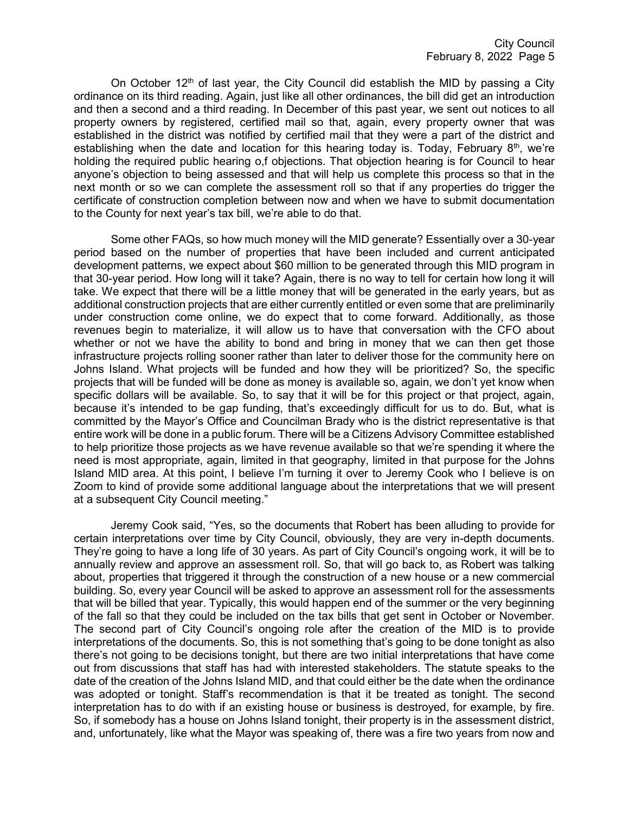On October  $12<sup>th</sup>$  of last year, the City Council did establish the MID by passing a City ordinance on its third reading. Again, just like all other ordinances, the bill did get an introduction and then a second and a third reading. In December of this past year, we sent out notices to all property owners by registered, certified mail so that, again, every property owner that was established in the district was notified by certified mail that they were a part of the district and establishing when the date and location for this hearing today is. Today, February  $8<sup>th</sup>$ , we're holding the required public hearing o,f objections. That objection hearing is for Council to hear anyone's objection to being assessed and that will help us complete this process so that in the next month or so we can complete the assessment roll so that if any properties do trigger the certificate of construction completion between now and when we have to submit documentation to the County for next year's tax bill, we're able to do that.

Some other FAQs, so how much money will the MID generate? Essentially over a 30-year period based on the number of properties that have been included and current anticipated development patterns, we expect about \$60 million to be generated through this MID program in that 30-year period. How long will it take? Again, there is no way to tell for certain how long it will take. We expect that there will be a little money that will be generated in the early years, but as additional construction projects that are either currently entitled or even some that are preliminarily under construction come online, we do expect that to come forward. Additionally, as those revenues begin to materialize, it will allow us to have that conversation with the CFO about whether or not we have the ability to bond and bring in money that we can then get those infrastructure projects rolling sooner rather than later to deliver those for the community here on Johns Island. What projects will be funded and how they will be prioritized? So, the specific projects that will be funded will be done as money is available so, again, we don't yet know when specific dollars will be available. So, to say that it will be for this project or that project, again, because it's intended to be gap funding, that's exceedingly difficult for us to do. But, what is committed by the Mayor's Office and Councilman Brady who is the district representative is that entire work will be done in a public forum. There will be a Citizens Advisory Committee established to help prioritize those projects as we have revenue available so that we're spending it where the need is most appropriate, again, limited in that geography, limited in that purpose for the Johns Island MID area. At this point, I believe I'm turning it over to Jeremy Cook who I believe is on Zoom to kind of provide some additional language about the interpretations that we will present at a subsequent City Council meeting."

Jeremy Cook said, "Yes, so the documents that Robert has been alluding to provide for certain interpretations over time by City Council, obviously, they are very in-depth documents. They're going to have a long life of 30 years. As part of City Council's ongoing work, it will be to annually review and approve an assessment roll. So, that will go back to, as Robert was talking about, properties that triggered it through the construction of a new house or a new commercial building. So, every year Council will be asked to approve an assessment roll for the assessments that will be billed that year. Typically, this would happen end of the summer or the very beginning of the fall so that they could be included on the tax bills that get sent in October or November. The second part of City Council's ongoing role after the creation of the MID is to provide interpretations of the documents. So, this is not something that's going to be done tonight as also there's not going to be decisions tonight, but there are two initial interpretations that have come out from discussions that staff has had with interested stakeholders. The statute speaks to the date of the creation of the Johns Island MID, and that could either be the date when the ordinance was adopted or tonight. Staff's recommendation is that it be treated as tonight. The second interpretation has to do with if an existing house or business is destroyed, for example, by fire. So, if somebody has a house on Johns Island tonight, their property is in the assessment district, and, unfortunately, like what the Mayor was speaking of, there was a fire two years from now and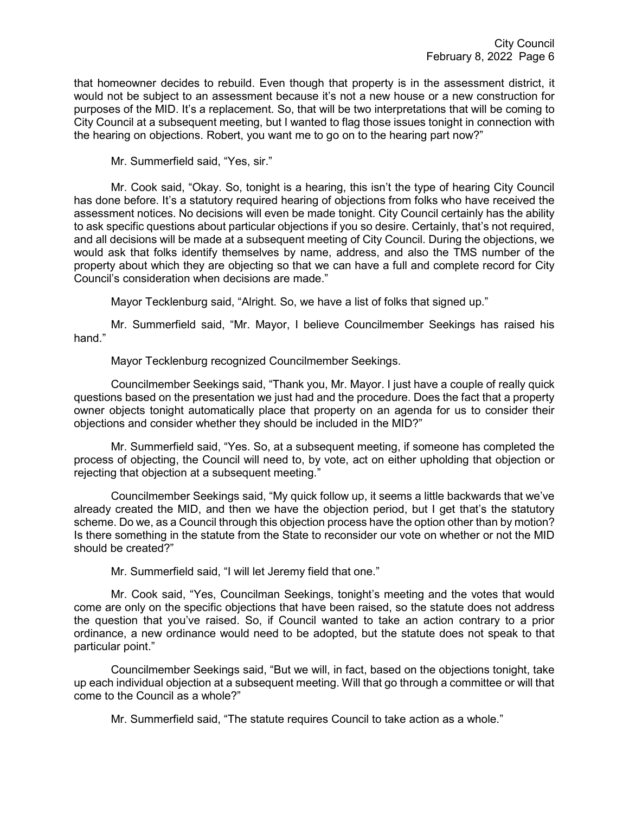that homeowner decides to rebuild. Even though that property is in the assessment district, it would not be subject to an assessment because it's not a new house or a new construction for purposes of the MID. It's a replacement. So, that will be two interpretations that will be coming to City Council at a subsequent meeting, but I wanted to flag those issues tonight in connection with the hearing on objections. Robert, you want me to go on to the hearing part now?"

Mr. Summerfield said, "Yes, sir."

Mr. Cook said, "Okay. So, tonight is a hearing, this isn't the type of hearing City Council has done before. It's a statutory required hearing of objections from folks who have received the assessment notices. No decisions will even be made tonight. City Council certainly has the ability to ask specific questions about particular objections if you so desire. Certainly, that's not required, and all decisions will be made at a subsequent meeting of City Council. During the objections, we would ask that folks identify themselves by name, address, and also the TMS number of the property about which they are objecting so that we can have a full and complete record for City Council's consideration when decisions are made."

Mayor Tecklenburg said, "Alright. So, we have a list of folks that signed up."

Mr. Summerfield said, "Mr. Mayor, I believe Councilmember Seekings has raised his hand."

Mayor Tecklenburg recognized Councilmember Seekings.

Councilmember Seekings said, "Thank you, Mr. Mayor. I just have a couple of really quick questions based on the presentation we just had and the procedure. Does the fact that a property owner objects tonight automatically place that property on an agenda for us to consider their objections and consider whether they should be included in the MID?"

Mr. Summerfield said, "Yes. So, at a subsequent meeting, if someone has completed the process of objecting, the Council will need to, by vote, act on either upholding that objection or rejecting that objection at a subsequent meeting."

Councilmember Seekings said, "My quick follow up, it seems a little backwards that we've already created the MID, and then we have the objection period, but I get that's the statutory scheme. Do we, as a Council through this objection process have the option other than by motion? Is there something in the statute from the State to reconsider our vote on whether or not the MID should be created?"

Mr. Summerfield said, "I will let Jeremy field that one."

Mr. Cook said, "Yes, Councilman Seekings, tonight's meeting and the votes that would come are only on the specific objections that have been raised, so the statute does not address the question that you've raised. So, if Council wanted to take an action contrary to a prior ordinance, a new ordinance would need to be adopted, but the statute does not speak to that particular point."

Councilmember Seekings said, "But we will, in fact, based on the objections tonight, take up each individual objection at a subsequent meeting. Will that go through a committee or will that come to the Council as a whole?"

Mr. Summerfield said, "The statute requires Council to take action as a whole."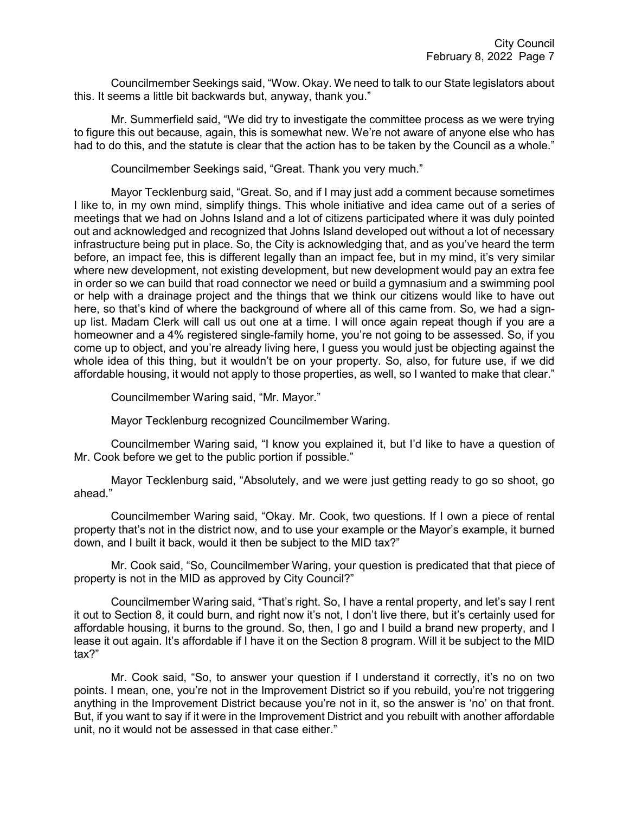Councilmember Seekings said, "Wow. Okay. We need to talk to our State legislators about this. It seems a little bit backwards but, anyway, thank you."

Mr. Summerfield said, "We did try to investigate the committee process as we were trying to figure this out because, again, this is somewhat new. We're not aware of anyone else who has had to do this, and the statute is clear that the action has to be taken by the Council as a whole."

Councilmember Seekings said, "Great. Thank you very much."

Mayor Tecklenburg said, "Great. So, and if I may just add a comment because sometimes I like to, in my own mind, simplify things. This whole initiative and idea came out of a series of meetings that we had on Johns Island and a lot of citizens participated where it was duly pointed out and acknowledged and recognized that Johns Island developed out without a lot of necessary infrastructure being put in place. So, the City is acknowledging that, and as you've heard the term before, an impact fee, this is different legally than an impact fee, but in my mind, it's very similar where new development, not existing development, but new development would pay an extra fee in order so we can build that road connector we need or build a gymnasium and a swimming pool or help with a drainage project and the things that we think our citizens would like to have out here, so that's kind of where the background of where all of this came from. So, we had a signup list. Madam Clerk will call us out one at a time. I will once again repeat though if you are a homeowner and a 4% registered single-family home, you're not going to be assessed. So, if you come up to object, and you're already living here, I guess you would just be objecting against the whole idea of this thing, but it wouldn't be on your property. So, also, for future use, if we did affordable housing, it would not apply to those properties, as well, so I wanted to make that clear."

Councilmember Waring said, "Mr. Mayor."

Mayor Tecklenburg recognized Councilmember Waring.

Councilmember Waring said, "I know you explained it, but I'd like to have a question of Mr. Cook before we get to the public portion if possible."

Mayor Tecklenburg said, "Absolutely, and we were just getting ready to go so shoot, go ahead."

Councilmember Waring said, "Okay. Mr. Cook, two questions. If I own a piece of rental property that's not in the district now, and to use your example or the Mayor's example, it burned down, and I built it back, would it then be subject to the MID tax?"

Mr. Cook said, "So, Councilmember Waring, your question is predicated that that piece of property is not in the MID as approved by City Council?"

Councilmember Waring said, "That's right. So, I have a rental property, and let's say I rent it out to Section 8, it could burn, and right now it's not, I don't live there, but it's certainly used for affordable housing, it burns to the ground. So, then, I go and I build a brand new property, and I lease it out again. It's affordable if I have it on the Section 8 program. Will it be subject to the MID tax?"

Mr. Cook said, "So, to answer your question if I understand it correctly, it's no on two points. I mean, one, you're not in the Improvement District so if you rebuild, you're not triggering anything in the Improvement District because you're not in it, so the answer is 'no' on that front. But, if you want to say if it were in the Improvement District and you rebuilt with another affordable unit, no it would not be assessed in that case either."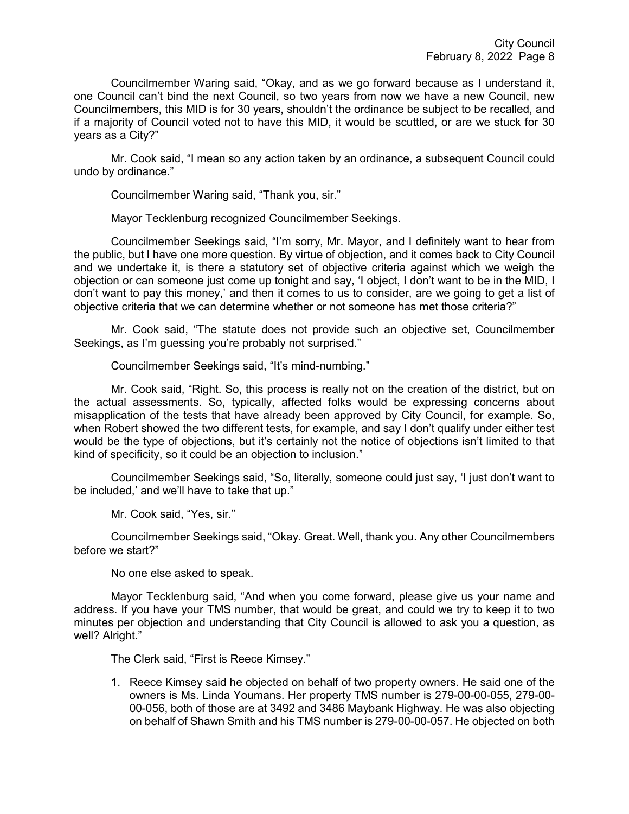Councilmember Waring said, "Okay, and as we go forward because as I understand it, one Council can't bind the next Council, so two years from now we have a new Council, new Councilmembers, this MID is for 30 years, shouldn't the ordinance be subject to be recalled, and if a majority of Council voted not to have this MID, it would be scuttled, or are we stuck for 30 years as a City?"

Mr. Cook said, "I mean so any action taken by an ordinance, a subsequent Council could undo by ordinance."

Councilmember Waring said, "Thank you, sir."

Mayor Tecklenburg recognized Councilmember Seekings.

Councilmember Seekings said, "I'm sorry, Mr. Mayor, and I definitely want to hear from the public, but I have one more question. By virtue of objection, and it comes back to City Council and we undertake it, is there a statutory set of objective criteria against which we weigh the objection or can someone just come up tonight and say, 'I object, I don't want to be in the MID, I don't want to pay this money,' and then it comes to us to consider, are we going to get a list of objective criteria that we can determine whether or not someone has met those criteria?"

Mr. Cook said, "The statute does not provide such an objective set, Councilmember Seekings, as I'm guessing you're probably not surprised."

Councilmember Seekings said, "It's mind-numbing."

Mr. Cook said, "Right. So, this process is really not on the creation of the district, but on the actual assessments. So, typically, affected folks would be expressing concerns about misapplication of the tests that have already been approved by City Council, for example. So, when Robert showed the two different tests, for example, and say I don't qualify under either test would be the type of objections, but it's certainly not the notice of objections isn't limited to that kind of specificity, so it could be an objection to inclusion."

Councilmember Seekings said, "So, literally, someone could just say, 'I just don't want to be included,' and we'll have to take that up."

Mr. Cook said, "Yes, sir."

Councilmember Seekings said, "Okay. Great. Well, thank you. Any other Councilmembers before we start?"

No one else asked to speak.

Mayor Tecklenburg said, "And when you come forward, please give us your name and address. If you have your TMS number, that would be great, and could we try to keep it to two minutes per objection and understanding that City Council is allowed to ask you a question, as well? Alright."

The Clerk said, "First is Reece Kimsey."

1. Reece Kimsey said he objected on behalf of two property owners. He said one of the owners is Ms. Linda Youmans. Her property TMS number is 279-00-00-055, 279-00- 00-056, both of those are at 3492 and 3486 Maybank Highway. He was also objecting on behalf of Shawn Smith and his TMS number is 279-00-00-057. He objected on both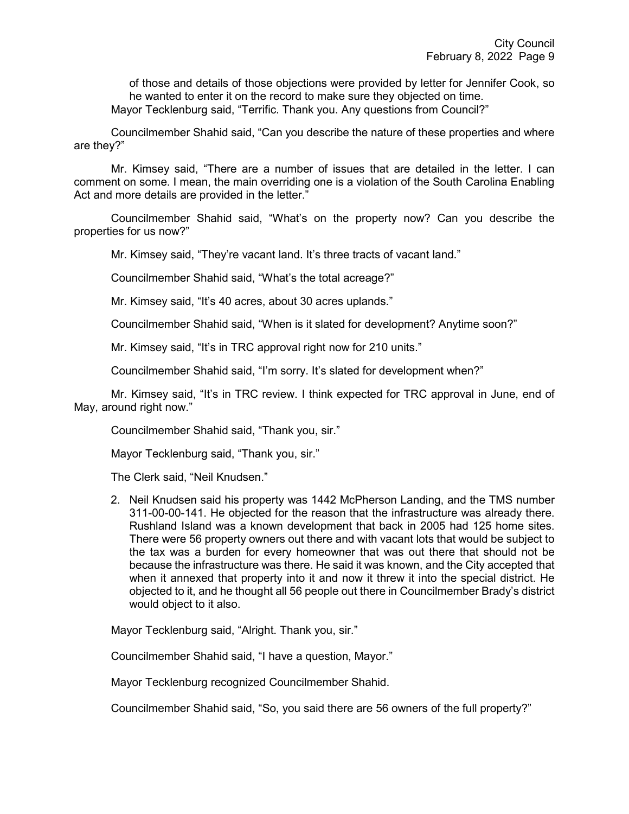of those and details of those objections were provided by letter for Jennifer Cook, so he wanted to enter it on the record to make sure they objected on time. Mayor Tecklenburg said, "Terrific. Thank you. Any questions from Council?"

Councilmember Shahid said, "Can you describe the nature of these properties and where are they?"

Mr. Kimsey said, "There are a number of issues that are detailed in the letter. I can comment on some. I mean, the main overriding one is a violation of the South Carolina Enabling Act and more details are provided in the letter."

Councilmember Shahid said, "What's on the property now? Can you describe the properties for us now?"

Mr. Kimsey said, "They're vacant land. It's three tracts of vacant land."

Councilmember Shahid said, "What's the total acreage?"

Mr. Kimsey said, "It's 40 acres, about 30 acres uplands."

Councilmember Shahid said, "When is it slated for development? Anytime soon?"

Mr. Kimsey said, "It's in TRC approval right now for 210 units."

Councilmember Shahid said, "I'm sorry. It's slated for development when?"

Mr. Kimsey said, "It's in TRC review. I think expected for TRC approval in June, end of May, around right now."

Councilmember Shahid said, "Thank you, sir."

Mayor Tecklenburg said, "Thank you, sir."

The Clerk said, "Neil Knudsen."

2. Neil Knudsen said his property was 1442 McPherson Landing, and the TMS number 311-00-00-141. He objected for the reason that the infrastructure was already there. Rushland Island was a known development that back in 2005 had 125 home sites. There were 56 property owners out there and with vacant lots that would be subject to the tax was a burden for every homeowner that was out there that should not be because the infrastructure was there. He said it was known, and the City accepted that when it annexed that property into it and now it threw it into the special district. He objected to it, and he thought all 56 people out there in Councilmember Brady's district would object to it also.

Mayor Tecklenburg said, "Alright. Thank you, sir."

Councilmember Shahid said, "I have a question, Mayor."

Mayor Tecklenburg recognized Councilmember Shahid.

Councilmember Shahid said, "So, you said there are 56 owners of the full property?"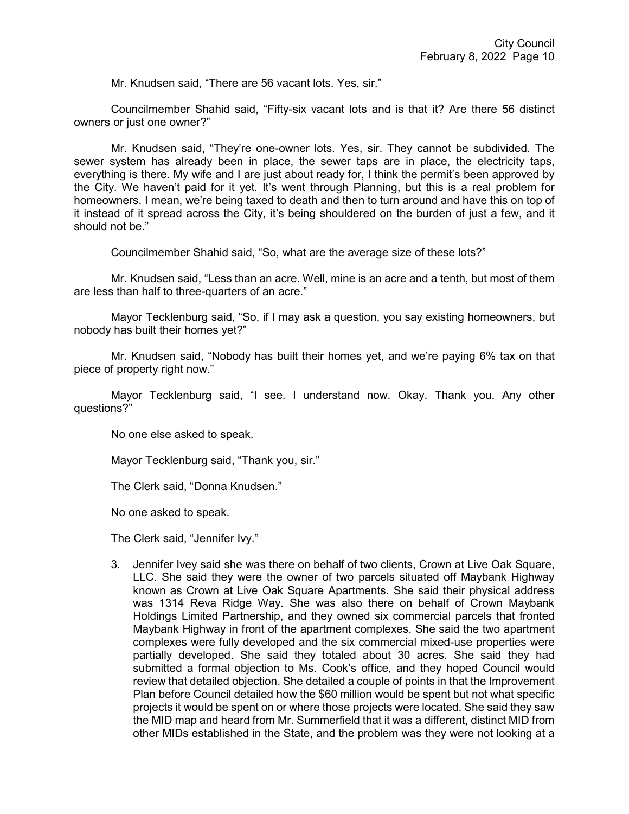Mr. Knudsen said, "There are 56 vacant lots. Yes, sir."

Councilmember Shahid said, "Fifty-six vacant lots and is that it? Are there 56 distinct owners or just one owner?"

Mr. Knudsen said, "They're one-owner lots. Yes, sir. They cannot be subdivided. The sewer system has already been in place, the sewer taps are in place, the electricity taps, everything is there. My wife and I are just about ready for, I think the permit's been approved by the City. We haven't paid for it yet. It's went through Planning, but this is a real problem for homeowners. I mean, we're being taxed to death and then to turn around and have this on top of it instead of it spread across the City, it's being shouldered on the burden of just a few, and it should not be."

Councilmember Shahid said, "So, what are the average size of these lots?"

Mr. Knudsen said, "Less than an acre. Well, mine is an acre and a tenth, but most of them are less than half to three-quarters of an acre."

Mayor Tecklenburg said, "So, if I may ask a question, you say existing homeowners, but nobody has built their homes yet?"

Mr. Knudsen said, "Nobody has built their homes yet, and we're paying 6% tax on that piece of property right now."

Mayor Tecklenburg said, "I see. I understand now. Okay. Thank you. Any other questions?"

No one else asked to speak.

Mayor Tecklenburg said, "Thank you, sir."

The Clerk said, "Donna Knudsen."

No one asked to speak.

The Clerk said, "Jennifer Ivy."

3. Jennifer Ivey said she was there on behalf of two clients, Crown at Live Oak Square, LLC. She said they were the owner of two parcels situated off Maybank Highway known as Crown at Live Oak Square Apartments. She said their physical address was 1314 Reva Ridge Way. She was also there on behalf of Crown Maybank Holdings Limited Partnership, and they owned six commercial parcels that fronted Maybank Highway in front of the apartment complexes. She said the two apartment complexes were fully developed and the six commercial mixed-use properties were partially developed. She said they totaled about 30 acres. She said they had submitted a formal objection to Ms. Cook's office, and they hoped Council would review that detailed objection. She detailed a couple of points in that the Improvement Plan before Council detailed how the \$60 million would be spent but not what specific projects it would be spent on or where those projects were located. She said they saw the MID map and heard from Mr. Summerfield that it was a different, distinct MID from other MIDs established in the State, and the problem was they were not looking at a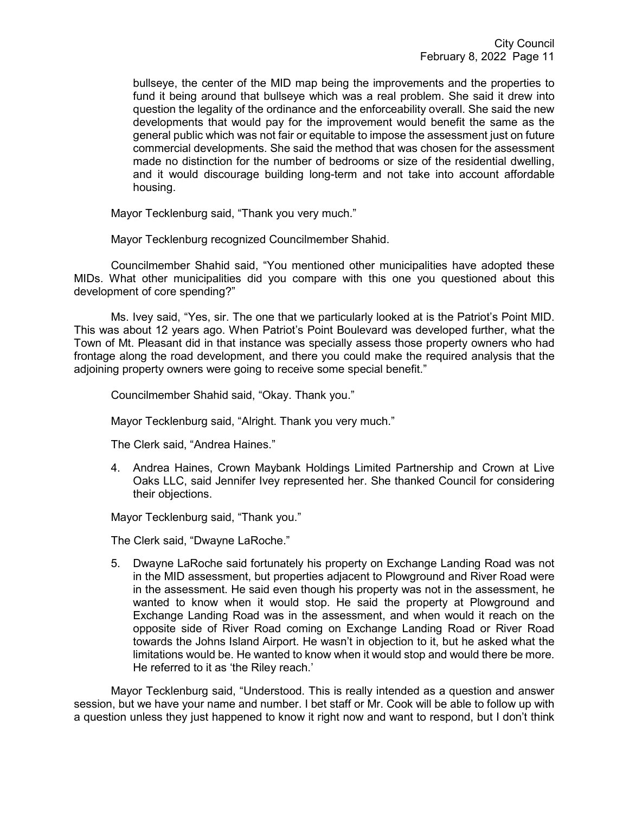bullseye, the center of the MID map being the improvements and the properties to fund it being around that bullseye which was a real problem. She said it drew into question the legality of the ordinance and the enforceability overall. She said the new developments that would pay for the improvement would benefit the same as the general public which was not fair or equitable to impose the assessment just on future commercial developments. She said the method that was chosen for the assessment made no distinction for the number of bedrooms or size of the residential dwelling, and it would discourage building long-term and not take into account affordable housing.

Mayor Tecklenburg said, "Thank you very much."

Mayor Tecklenburg recognized Councilmember Shahid.

Councilmember Shahid said, "You mentioned other municipalities have adopted these MIDs. What other municipalities did you compare with this one you questioned about this development of core spending?"

Ms. Ivey said, "Yes, sir. The one that we particularly looked at is the Patriot's Point MID. This was about 12 years ago. When Patriot's Point Boulevard was developed further, what the Town of Mt. Pleasant did in that instance was specially assess those property owners who had frontage along the road development, and there you could make the required analysis that the adioining property owners were going to receive some special benefit."

Councilmember Shahid said, "Okay. Thank you."

Mayor Tecklenburg said, "Alright. Thank you very much."

The Clerk said, "Andrea Haines."

4. Andrea Haines, Crown Maybank Holdings Limited Partnership and Crown at Live Oaks LLC, said Jennifer Ivey represented her. She thanked Council for considering their objections.

Mayor Tecklenburg said, "Thank you."

The Clerk said, "Dwayne LaRoche."

5. Dwayne LaRoche said fortunately his property on Exchange Landing Road was not in the MID assessment, but properties adjacent to Plowground and River Road were in the assessment. He said even though his property was not in the assessment, he wanted to know when it would stop. He said the property at Plowground and Exchange Landing Road was in the assessment, and when would it reach on the opposite side of River Road coming on Exchange Landing Road or River Road towards the Johns Island Airport. He wasn't in objection to it, but he asked what the limitations would be. He wanted to know when it would stop and would there be more. He referred to it as 'the Riley reach.'

Mayor Tecklenburg said, "Understood. This is really intended as a question and answer session, but we have your name and number. I bet staff or Mr. Cook will be able to follow up with a question unless they just happened to know it right now and want to respond, but I don't think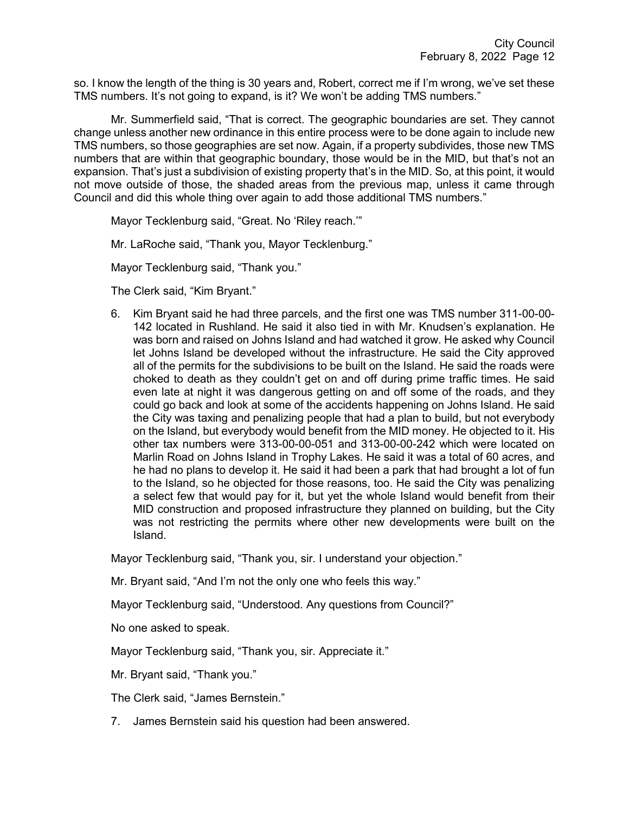so. I know the length of the thing is 30 years and, Robert, correct me if I'm wrong, we've set these TMS numbers. It's not going to expand, is it? We won't be adding TMS numbers."

Mr. Summerfield said, "That is correct. The geographic boundaries are set. They cannot change unless another new ordinance in this entire process were to be done again to include new TMS numbers, so those geographies are set now. Again, if a property subdivides, those new TMS numbers that are within that geographic boundary, those would be in the MID, but that's not an expansion. That's just a subdivision of existing property that's in the MID. So, at this point, it would not move outside of those, the shaded areas from the previous map, unless it came through Council and did this whole thing over again to add those additional TMS numbers."

Mayor Tecklenburg said, "Great. No 'Riley reach.'"

Mr. LaRoche said, "Thank you, Mayor Tecklenburg."

Mayor Tecklenburg said, "Thank you."

The Clerk said, "Kim Bryant."

6. Kim Bryant said he had three parcels, and the first one was TMS number 311-00-00- 142 located in Rushland. He said it also tied in with Mr. Knudsen's explanation. He was born and raised on Johns Island and had watched it grow. He asked why Council let Johns Island be developed without the infrastructure. He said the City approved all of the permits for the subdivisions to be built on the Island. He said the roads were choked to death as they couldn't get on and off during prime traffic times. He said even late at night it was dangerous getting on and off some of the roads, and they could go back and look at some of the accidents happening on Johns Island. He said the City was taxing and penalizing people that had a plan to build, but not everybody on the Island, but everybody would benefit from the MID money. He objected to it. His other tax numbers were 313-00-00-051 and 313-00-00-242 which were located on Marlin Road on Johns Island in Trophy Lakes. He said it was a total of 60 acres, and he had no plans to develop it. He said it had been a park that had brought a lot of fun to the Island, so he objected for those reasons, too. He said the City was penalizing a select few that would pay for it, but yet the whole Island would benefit from their MID construction and proposed infrastructure they planned on building, but the City was not restricting the permits where other new developments were built on the Island.

Mayor Tecklenburg said, "Thank you, sir. I understand your objection."

Mr. Bryant said, "And I'm not the only one who feels this way."

Mayor Tecklenburg said, "Understood. Any questions from Council?"

No one asked to speak.

Mayor Tecklenburg said, "Thank you, sir. Appreciate it."

Mr. Bryant said, "Thank you."

The Clerk said, "James Bernstein."

7. James Bernstein said his question had been answered.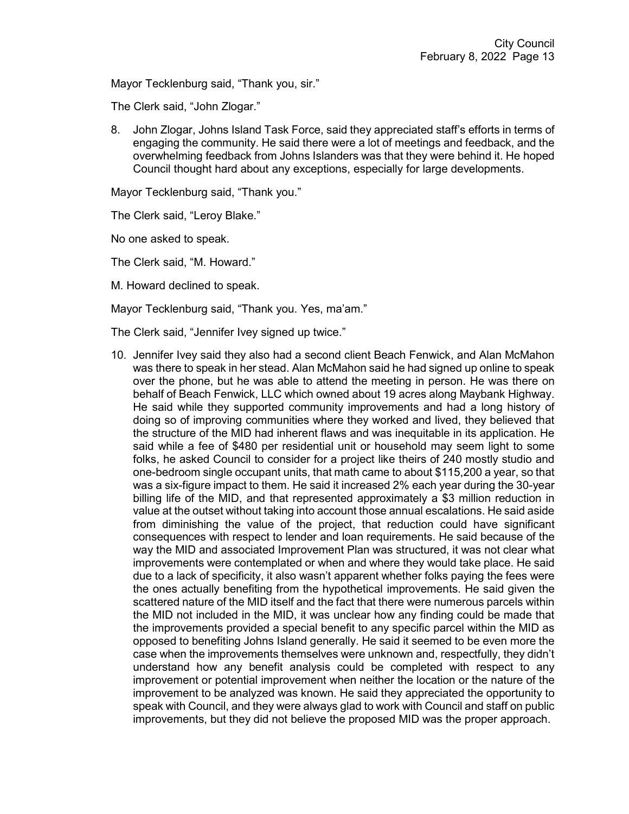Mayor Tecklenburg said, "Thank you, sir."

The Clerk said, "John Zlogar."

8. John Zlogar, Johns Island Task Force, said they appreciated staff's efforts in terms of engaging the community. He said there were a lot of meetings and feedback, and the overwhelming feedback from Johns Islanders was that they were behind it. He hoped Council thought hard about any exceptions, especially for large developments.

Mayor Tecklenburg said, "Thank you."

The Clerk said, "Leroy Blake."

No one asked to speak.

The Clerk said, "M. Howard."

M. Howard declined to speak.

Mayor Tecklenburg said, "Thank you. Yes, ma'am."

The Clerk said, "Jennifer Ivey signed up twice."

10. Jennifer Ivey said they also had a second client Beach Fenwick, and Alan McMahon was there to speak in her stead. Alan McMahon said he had signed up online to speak over the phone, but he was able to attend the meeting in person. He was there on behalf of Beach Fenwick, LLC which owned about 19 acres along Maybank Highway. He said while they supported community improvements and had a long history of doing so of improving communities where they worked and lived, they believed that the structure of the MID had inherent flaws and was inequitable in its application. He said while a fee of \$480 per residential unit or household may seem light to some folks, he asked Council to consider for a project like theirs of 240 mostly studio and one-bedroom single occupant units, that math came to about \$115,200 a year, so that was a six-figure impact to them. He said it increased 2% each year during the 30-year billing life of the MID, and that represented approximately a \$3 million reduction in value at the outset without taking into account those annual escalations. He said aside from diminishing the value of the project, that reduction could have significant consequences with respect to lender and loan requirements. He said because of the way the MID and associated Improvement Plan was structured, it was not clear what improvements were contemplated or when and where they would take place. He said due to a lack of specificity, it also wasn't apparent whether folks paying the fees were the ones actually benefiting from the hypothetical improvements. He said given the scattered nature of the MID itself and the fact that there were numerous parcels within the MID not included in the MID, it was unclear how any finding could be made that the improvements provided a special benefit to any specific parcel within the MID as opposed to benefiting Johns Island generally. He said it seemed to be even more the case when the improvements themselves were unknown and, respectfully, they didn't understand how any benefit analysis could be completed with respect to any improvement or potential improvement when neither the location or the nature of the improvement to be analyzed was known. He said they appreciated the opportunity to speak with Council, and they were always glad to work with Council and staff on public improvements, but they did not believe the proposed MID was the proper approach.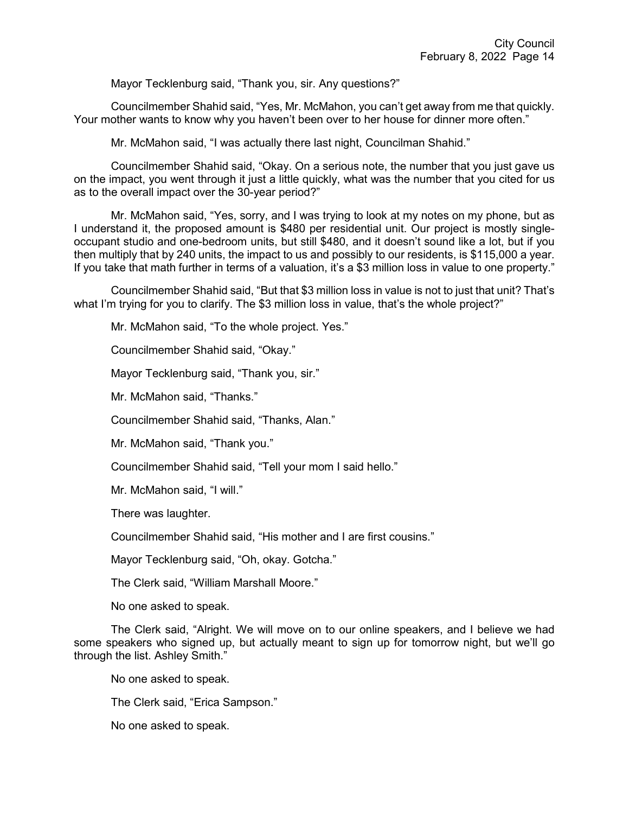Mayor Tecklenburg said, "Thank you, sir. Any questions?"

Councilmember Shahid said, "Yes, Mr. McMahon, you can't get away from me that quickly. Your mother wants to know why you haven't been over to her house for dinner more often."

Mr. McMahon said, "I was actually there last night, Councilman Shahid."

Councilmember Shahid said, "Okay. On a serious note, the number that you just gave us on the impact, you went through it just a little quickly, what was the number that you cited for us as to the overall impact over the 30-year period?"

Mr. McMahon said, "Yes, sorry, and I was trying to look at my notes on my phone, but as I understand it, the proposed amount is \$480 per residential unit. Our project is mostly singleoccupant studio and one-bedroom units, but still \$480, and it doesn't sound like a lot, but if you then multiply that by 240 units, the impact to us and possibly to our residents, is \$115,000 a year. If you take that math further in terms of a valuation, it's a \$3 million loss in value to one property."

Councilmember Shahid said, "But that \$3 million loss in value is not to just that unit? That's what I'm trying for you to clarify. The \$3 million loss in value, that's the whole project?"

Mr. McMahon said, "To the whole project. Yes."

Councilmember Shahid said, "Okay."

Mayor Tecklenburg said, "Thank you, sir."

Mr. McMahon said, "Thanks."

Councilmember Shahid said, "Thanks, Alan."

Mr. McMahon said, "Thank you."

Councilmember Shahid said, "Tell your mom I said hello."

Mr. McMahon said, "I will."

There was laughter.

Councilmember Shahid said, "His mother and I are first cousins."

Mayor Tecklenburg said, "Oh, okay. Gotcha."

The Clerk said, "William Marshall Moore."

No one asked to speak.

The Clerk said, "Alright. We will move on to our online speakers, and I believe we had some speakers who signed up, but actually meant to sign up for tomorrow night, but we'll go through the list. Ashley Smith."

No one asked to speak.

The Clerk said, "Erica Sampson."

No one asked to speak.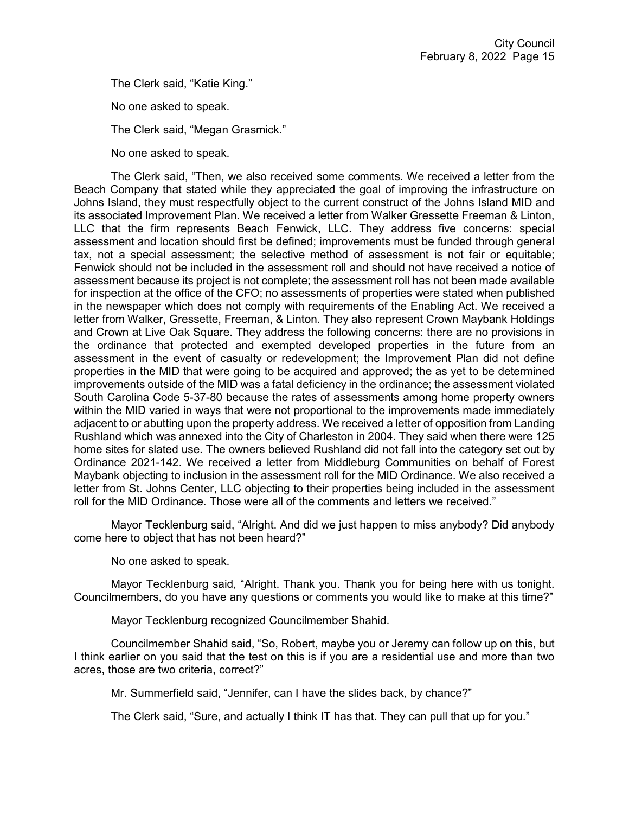The Clerk said, "Katie King."

No one asked to speak.

The Clerk said, "Megan Grasmick."

No one asked to speak.

The Clerk said, "Then, we also received some comments. We received a letter from the Beach Company that stated while they appreciated the goal of improving the infrastructure on Johns Island, they must respectfully object to the current construct of the Johns Island MID and its associated Improvement Plan. We received a letter from Walker Gressette Freeman & Linton, LLC that the firm represents Beach Fenwick, LLC. They address five concerns: special assessment and location should first be defined; improvements must be funded through general tax, not a special assessment; the selective method of assessment is not fair or equitable; Fenwick should not be included in the assessment roll and should not have received a notice of assessment because its project is not complete; the assessment roll has not been made available for inspection at the office of the CFO; no assessments of properties were stated when published in the newspaper which does not comply with requirements of the Enabling Act. We received a letter from Walker, Gressette, Freeman, & Linton. They also represent Crown Maybank Holdings and Crown at Live Oak Square. They address the following concerns: there are no provisions in the ordinance that protected and exempted developed properties in the future from an assessment in the event of casualty or redevelopment; the Improvement Plan did not define properties in the MID that were going to be acquired and approved; the as yet to be determined improvements outside of the MID was a fatal deficiency in the ordinance; the assessment violated South Carolina Code 5-37-80 because the rates of assessments among home property owners within the MID varied in ways that were not proportional to the improvements made immediately adjacent to or abutting upon the property address. We received a letter of opposition from Landing Rushland which was annexed into the City of Charleston in 2004. They said when there were 125 home sites for slated use. The owners believed Rushland did not fall into the category set out by Ordinance 2021-142. We received a letter from Middleburg Communities on behalf of Forest Maybank objecting to inclusion in the assessment roll for the MID Ordinance. We also received a letter from St. Johns Center, LLC objecting to their properties being included in the assessment roll for the MID Ordinance. Those were all of the comments and letters we received."

Mayor Tecklenburg said, "Alright. And did we just happen to miss anybody? Did anybody come here to object that has not been heard?"

No one asked to speak.

Mayor Tecklenburg said, "Alright. Thank you. Thank you for being here with us tonight. Councilmembers, do you have any questions or comments you would like to make at this time?"

Mayor Tecklenburg recognized Councilmember Shahid.

Councilmember Shahid said, "So, Robert, maybe you or Jeremy can follow up on this, but I think earlier on you said that the test on this is if you are a residential use and more than two acres, those are two criteria, correct?"

Mr. Summerfield said, "Jennifer, can I have the slides back, by chance?"

The Clerk said, "Sure, and actually I think IT has that. They can pull that up for you."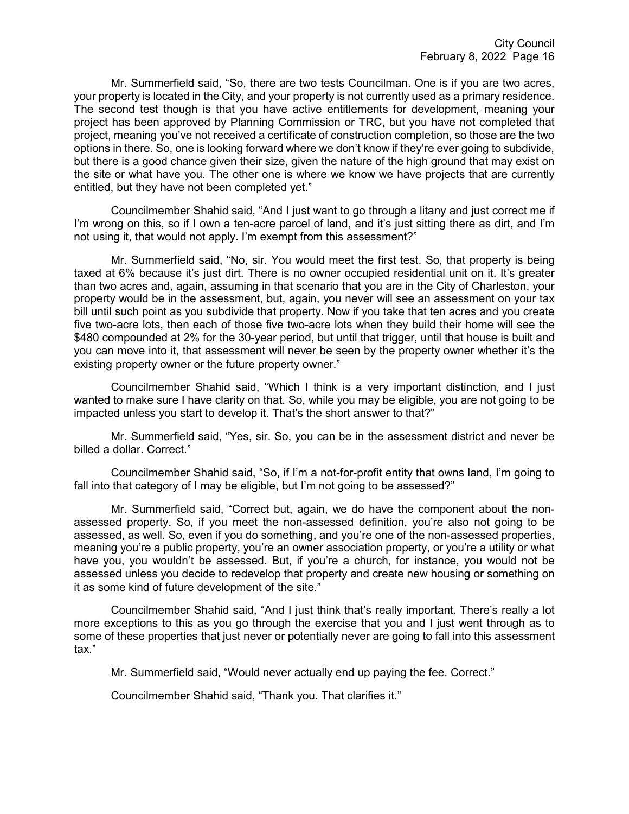Mr. Summerfield said, "So, there are two tests Councilman. One is if you are two acres, your property is located in the City, and your property is not currently used as a primary residence. The second test though is that you have active entitlements for development, meaning your project has been approved by Planning Commission or TRC, but you have not completed that project, meaning you've not received a certificate of construction completion, so those are the two options in there. So, one is looking forward where we don't know if they're ever going to subdivide, but there is a good chance given their size, given the nature of the high ground that may exist on the site or what have you. The other one is where we know we have projects that are currently entitled, but they have not been completed yet."

Councilmember Shahid said, "And I just want to go through a litany and just correct me if I'm wrong on this, so if I own a ten-acre parcel of land, and it's just sitting there as dirt, and I'm not using it, that would not apply. I'm exempt from this assessment?"

Mr. Summerfield said, "No, sir. You would meet the first test. So, that property is being taxed at 6% because it's just dirt. There is no owner occupied residential unit on it. It's greater than two acres and, again, assuming in that scenario that you are in the City of Charleston, your property would be in the assessment, but, again, you never will see an assessment on your tax bill until such point as you subdivide that property. Now if you take that ten acres and you create five two-acre lots, then each of those five two-acre lots when they build their home will see the \$480 compounded at 2% for the 30-year period, but until that trigger, until that house is built and you can move into it, that assessment will never be seen by the property owner whether it's the existing property owner or the future property owner."

Councilmember Shahid said, "Which I think is a very important distinction, and I just wanted to make sure I have clarity on that. So, while you may be eligible, you are not going to be impacted unless you start to develop it. That's the short answer to that?"

Mr. Summerfield said, "Yes, sir. So, you can be in the assessment district and never be billed a dollar. Correct."

Councilmember Shahid said, "So, if I'm a not-for-profit entity that owns land, I'm going to fall into that category of I may be eligible, but I'm not going to be assessed?"

Mr. Summerfield said, "Correct but, again, we do have the component about the nonassessed property. So, if you meet the non-assessed definition, you're also not going to be assessed, as well. So, even if you do something, and you're one of the non-assessed properties, meaning you're a public property, you're an owner association property, or you're a utility or what have you, you wouldn't be assessed. But, if you're a church, for instance, you would not be assessed unless you decide to redevelop that property and create new housing or something on it as some kind of future development of the site."

Councilmember Shahid said, "And I just think that's really important. There's really a lot more exceptions to this as you go through the exercise that you and I just went through as to some of these properties that just never or potentially never are going to fall into this assessment tax."

Mr. Summerfield said, "Would never actually end up paying the fee. Correct."

Councilmember Shahid said, "Thank you. That clarifies it."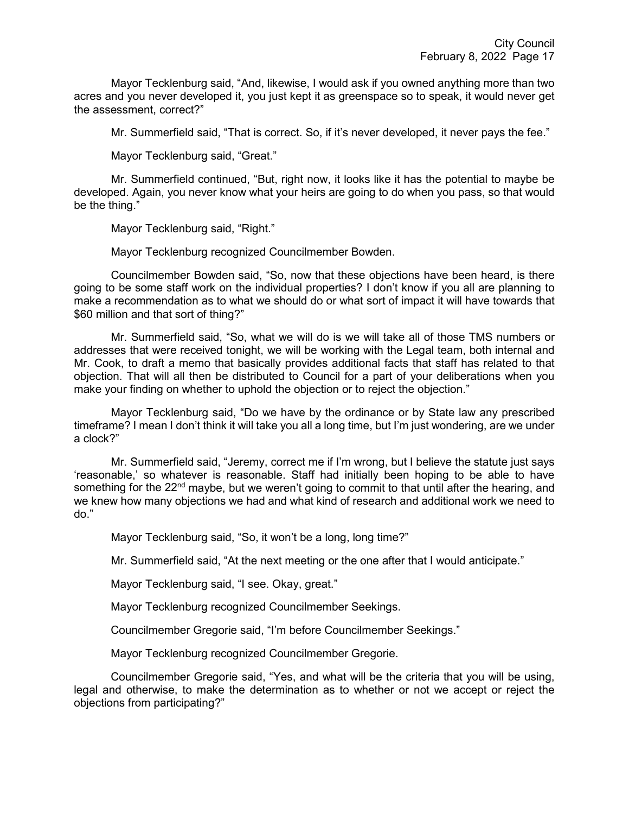Mayor Tecklenburg said, "And, likewise, I would ask if you owned anything more than two acres and you never developed it, you just kept it as greenspace so to speak, it would never get the assessment, correct?"

Mr. Summerfield said, "That is correct. So, if it's never developed, it never pays the fee."

Mayor Tecklenburg said, "Great."

Mr. Summerfield continued, "But, right now, it looks like it has the potential to maybe be developed. Again, you never know what your heirs are going to do when you pass, so that would be the thing."

Mayor Tecklenburg said, "Right."

Mayor Tecklenburg recognized Councilmember Bowden.

Councilmember Bowden said, "So, now that these objections have been heard, is there going to be some staff work on the individual properties? I don't know if you all are planning to make a recommendation as to what we should do or what sort of impact it will have towards that \$60 million and that sort of thing?"

Mr. Summerfield said, "So, what we will do is we will take all of those TMS numbers or addresses that were received tonight, we will be working with the Legal team, both internal and Mr. Cook, to draft a memo that basically provides additional facts that staff has related to that objection. That will all then be distributed to Council for a part of your deliberations when you make your finding on whether to uphold the objection or to reject the objection."

Mayor Tecklenburg said, "Do we have by the ordinance or by State law any prescribed timeframe? I mean I don't think it will take you all a long time, but I'm just wondering, are we under a clock?"

Mr. Summerfield said, "Jeremy, correct me if I'm wrong, but I believe the statute just says 'reasonable,' so whatever is reasonable. Staff had initially been hoping to be able to have something for the  $22<sup>nd</sup>$  maybe, but we weren't going to commit to that until after the hearing, and we knew how many objections we had and what kind of research and additional work we need to do."

Mayor Tecklenburg said, "So, it won't be a long, long time?"

Mr. Summerfield said, "At the next meeting or the one after that I would anticipate."

Mayor Tecklenburg said, "I see. Okay, great."

Mayor Tecklenburg recognized Councilmember Seekings.

Councilmember Gregorie said, "I'm before Councilmember Seekings."

Mayor Tecklenburg recognized Councilmember Gregorie.

Councilmember Gregorie said, "Yes, and what will be the criteria that you will be using, legal and otherwise, to make the determination as to whether or not we accept or reject the objections from participating?"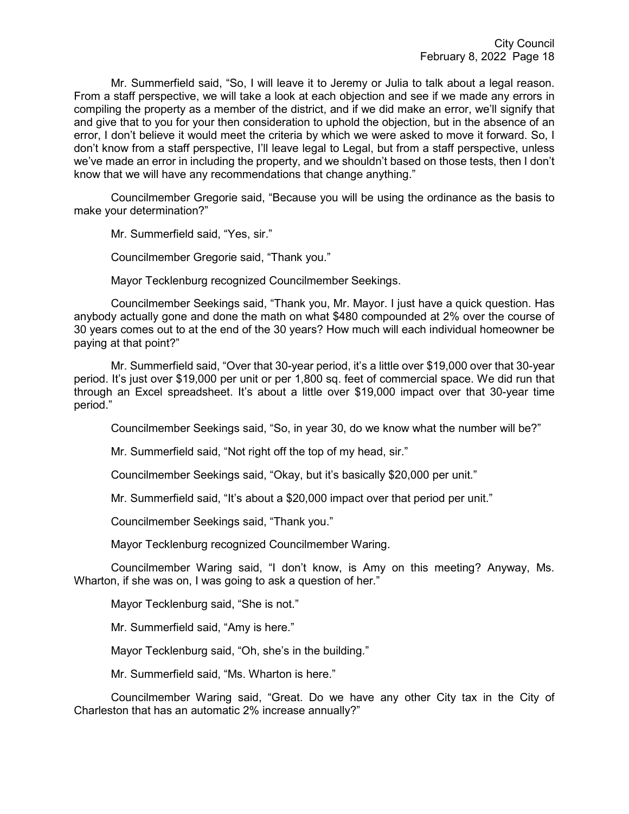Mr. Summerfield said, "So, I will leave it to Jeremy or Julia to talk about a legal reason. From a staff perspective, we will take a look at each objection and see if we made any errors in compiling the property as a member of the district, and if we did make an error, we'll signify that and give that to you for your then consideration to uphold the objection, but in the absence of an error, I don't believe it would meet the criteria by which we were asked to move it forward. So, I don't know from a staff perspective, I'll leave legal to Legal, but from a staff perspective, unless we've made an error in including the property, and we shouldn't based on those tests, then I don't know that we will have any recommendations that change anything."

Councilmember Gregorie said, "Because you will be using the ordinance as the basis to make your determination?"

Mr. Summerfield said, "Yes, sir."

Councilmember Gregorie said, "Thank you."

Mayor Tecklenburg recognized Councilmember Seekings.

Councilmember Seekings said, "Thank you, Mr. Mayor. I just have a quick question. Has anybody actually gone and done the math on what \$480 compounded at 2% over the course of 30 years comes out to at the end of the 30 years? How much will each individual homeowner be paying at that point?"

Mr. Summerfield said, "Over that 30-year period, it's a little over \$19,000 over that 30-year period. It's just over \$19,000 per unit or per 1,800 sq. feet of commercial space. We did run that through an Excel spreadsheet. It's about a little over \$19,000 impact over that 30-year time period."

Councilmember Seekings said, "So, in year 30, do we know what the number will be?"

Mr. Summerfield said, "Not right off the top of my head, sir."

Councilmember Seekings said, "Okay, but it's basically \$20,000 per unit."

Mr. Summerfield said, "It's about a \$20,000 impact over that period per unit."

Councilmember Seekings said, "Thank you."

Mayor Tecklenburg recognized Councilmember Waring.

Councilmember Waring said, "I don't know, is Amy on this meeting? Anyway, Ms. Wharton, if she was on, I was going to ask a question of her."

Mayor Tecklenburg said, "She is not."

Mr. Summerfield said, "Amy is here."

Mayor Tecklenburg said, "Oh, she's in the building."

Mr. Summerfield said, "Ms. Wharton is here."

Councilmember Waring said, "Great. Do we have any other City tax in the City of Charleston that has an automatic 2% increase annually?"